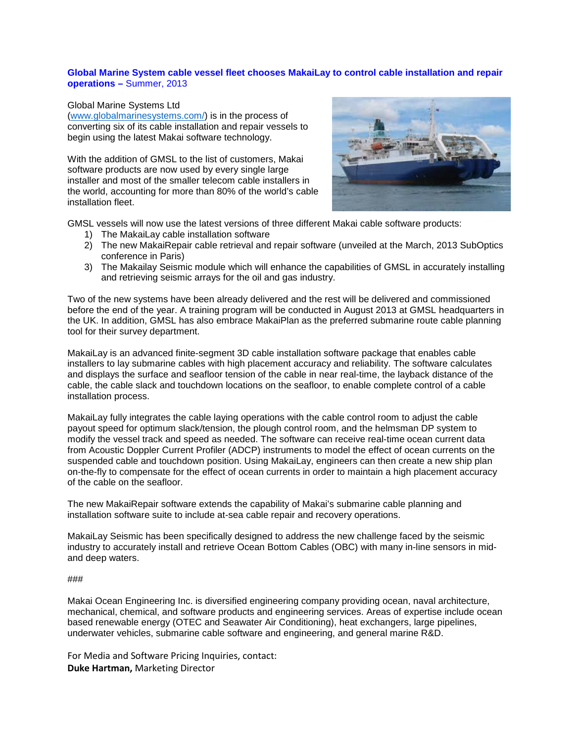## **Global Marine System cable vessel fleet chooses MakaiLay to control cable installation and repair operations –** Summer, 2013

## Global Marine Systems Ltd

[\(www.globalmarinesystems.com/\)](http://www.globalmarinesystems.com/) is in the process of converting six of its cable installation and repair vessels to begin using the latest Makai software technology.

With the addition of GMSL to the list of customers, Makai software products are now used by every single large installer and most of the smaller telecom cable installers in the world, accounting for more than 80% of the world's cable installation fleet.



GMSL vessels will now use the latest versions of three different Makai cable software products:

- 1) The MakaiLay cable installation software
- 2) The new MakaiRepair cable retrieval and repair software (unveiled at the March, 2013 SubOptics conference in Paris)
- 3) The Makailay Seismic module which will enhance the capabilities of GMSL in accurately installing and retrieving seismic arrays for the oil and gas industry.

Two of the new systems have been already delivered and the rest will be delivered and commissioned before the end of the year. A training program will be conducted in August 2013 at GMSL headquarters in the UK. In addition, GMSL has also embrace MakaiPlan as the preferred submarine route cable planning tool for their survey department.

MakaiLay is an advanced finite-segment 3D cable installation software package that enables cable installers to lay submarine cables with high placement accuracy and reliability. The software calculates and displays the surface and seafloor tension of the cable in near real-time, the layback distance of the cable, the cable slack and touchdown locations on the seafloor, to enable complete control of a cable installation process.

MakaiLay fully integrates the cable laying operations with the cable control room to adjust the cable payout speed for optimum slack/tension, the plough control room, and the helmsman DP system to modify the vessel track and speed as needed. The software can receive real-time ocean current data from Acoustic Doppler Current Profiler (ADCP) instruments to model the effect of ocean currents on the suspended cable and touchdown position. Using MakaiLay, engineers can then create a new ship plan on-the-fly to compensate for the effect of ocean currents in order to maintain a high placement accuracy of the cable on the seafloor.

The new MakaiRepair software extends the capability of Makai's submarine cable planning and installation software suite to include at-sea cable repair and recovery operations.

MakaiLay Seismic has been specifically designed to address the new challenge faced by the seismic industry to accurately [install](http://www.makai.com/cable-software/makailay-seismic/) and retrieve Ocean Bottom Cables (OBC) with many in-line sensors in midand [deep waters.](http://www.makai.com/cable-software/makailay-seismic/)

## ###

Makai Ocean Engineering Inc. is diversified engineering company providing ocean, naval architecture, mechanical, chemical, and software products and engineering services. Areas of expertise include ocean based renewable energy (OTEC and Seawater Air Conditioning), heat exchangers, large pipelines, underwater vehicles, submarine cable software and engineering, and general marine R&D.

For Media and Software Pricing Inquiries, contact: **Duke Hartman,** Marketing Director